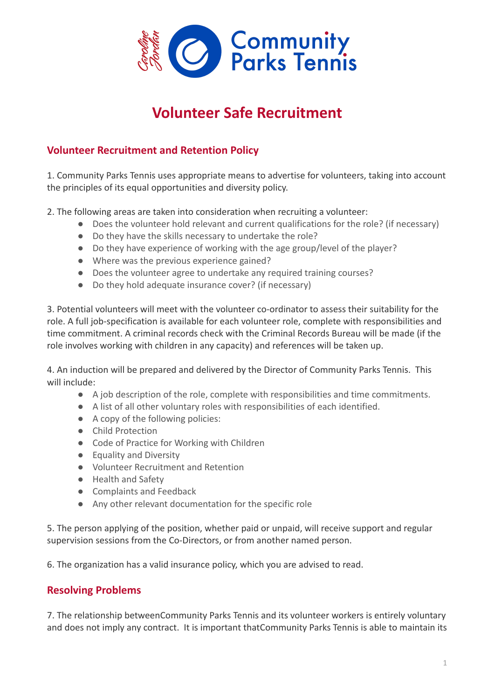

## **Volunteer Safe Recruitment**

## **Volunteer Recruitment and Retention Policy**

1. Community Parks Tennis uses appropriate means to advertise for volunteers, taking into account the principles of its equal opportunities and diversity policy.

2. The following areas are taken into consideration when recruiting a volunteer:

- Does the volunteer hold relevant and current qualifications for the role? (if necessary)
- Do they have the skills necessary to undertake the role?
- Do they have experience of working with the age group/level of the player?
- Where was the previous experience gained?
- Does the volunteer agree to undertake any required training courses?
- Do they hold adequate insurance cover? (if necessary)

3. Potential volunteers will meet with the volunteer co-ordinator to assess their suitability for the role. A full job-specification is available for each volunteer role, complete with responsibilities and time commitment. A criminal records check with the Criminal Records Bureau will be made (if the role involves working with children in any capacity) and references will be taken up.

4. An induction will be prepared and delivered by the Director of Community Parks Tennis. This will include:

- A job description of the role, complete with responsibilities and time commitments.
- A list of all other voluntary roles with responsibilities of each identified.
- A copy of the following policies:
- Child Protection
- Code of Practice for Working with Children
- Equality and Diversity
- Volunteer Recruitment and Retention
- Health and Safety
- Complaints and Feedback
- Any other relevant documentation for the specific role

5. The person applying of the position, whether paid or unpaid, will receive support and regular supervision sessions from the Co-Directors, or from another named person.

6. The organization has a valid insurance policy, which you are advised to read.

## **Resolving Problems**

7. The relationship betweenCommunity Parks Tennis and its volunteer workers is entirely voluntary and does not imply any contract. It is important thatCommunity Parks Tennis is able to maintain its